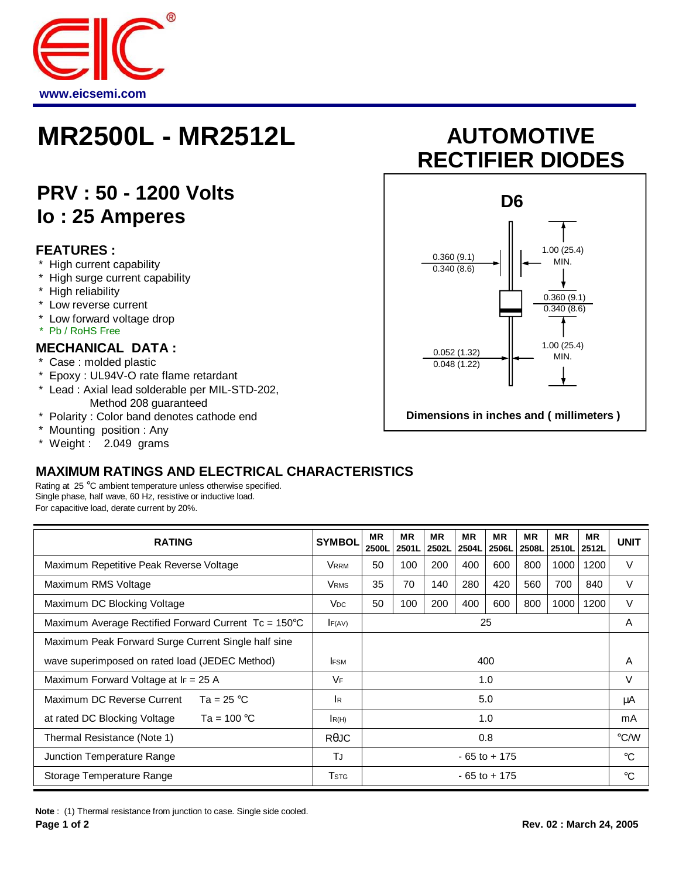

## **MR2500L - MR2512L AUTOMOTIVE**

### **PRV : 50 - 1200 Volts Io : 25 Amperes**

#### **FEATURES :**

- High current capability
- \* High surge current capability
- \* High reliability
- \* Low reverse current
- \* Low forward voltage drop
- \* Pb / RoHS Free

#### **MECHANICAL DATA :**

- \* Case : molded plastic
- \* Epoxy : UL94V-O rate flame retardant
- \* Lead : Axial lead solderable per MIL-STD-202, Method 208 guaranteed
- \* Polarity : Color band denotes cathode end
- \* Mounting position : Any
- \* Weight : 2.049 grams

#### **MAXIMUM RATINGS AND ELECTRICAL CHARACTERISTICS**

Rating at 25 °C ambient temperature unless otherwise specified. Single phase, half wave, 60 Hz, resistive or inductive load. For capacitive load, derate current by 20%.

| <b>RATING</b>                                                 | <b>SYMBOL</b>           | <b>MR</b><br>2500L | <b>MR</b><br>2501L | <b>MR</b><br>2502L | <b>MR</b><br>2504L | <b>MR</b><br>2506L | <b>MR</b><br>2508L | <b>MR</b><br>2510L | <b>MR</b><br>2512L | <b>UNIT</b>   |
|---------------------------------------------------------------|-------------------------|--------------------|--------------------|--------------------|--------------------|--------------------|--------------------|--------------------|--------------------|---------------|
| Maximum Repetitive Peak Reverse Voltage                       | VRRM                    | 50                 | 100                | 200                | 400                | 600                | 800                | 1000               | 1200               | V             |
| Maximum RMS Voltage                                           | <b>V</b> <sub>RMS</sub> | 35                 | 70                 | 140                | 280                | 420                | 560                | 700                | 840                | V             |
| Maximum DC Blocking Voltage                                   | <b>V<sub>DC</sub></b>   | 50                 | 100                | 200                | 400                | 600                | 800                | 1000               | 1200               | V             |
| Maximum Average Rectified Forward Current $Tc = 150^{\circ}C$ | F(AV)                   | 25                 |                    |                    |                    |                    |                    |                    |                    | A             |
| Maximum Peak Forward Surge Current Single half sine           |                         |                    |                    |                    |                    |                    |                    |                    |                    |               |
| wave superimposed on rated load (JEDEC Method)                | <b>IFSM</b>             | 400                |                    |                    |                    |                    |                    |                    | A                  |               |
| Maximum Forward Voltage at $I_F = 25$ A                       | VF                      | 1.0                |                    |                    |                    |                    |                    |                    | v                  |               |
| Maximum DC Reverse Current<br>Ta = 25 °C                      | l R                     | 5.0                |                    |                    |                    |                    |                    |                    | μA                 |               |
| at rated DC Blocking Voltage<br>Ta = $100^{\circ}$ C          | R(H)                    | 1.0                |                    |                    |                    |                    |                    |                    | mA                 |               |
| Thermal Resistance (Note 1)                                   | $R$ $\theta$ JC         |                    | 0.8                |                    |                    |                    |                    |                    |                    | $\degree$ C/W |
| Junction Temperature Range                                    | TJ                      | $-65$ to $+175$    |                    |                    |                    |                    |                    |                    | $^{\circ}C$        |               |
| Storage Temperature Range                                     | <b>T</b> stg            | $-65$ to $+175$    |                    |                    |                    |                    |                    |                    | °C                 |               |

- 
- 
- 
- 
- 
- 

# **RECTIFIER DIODES**